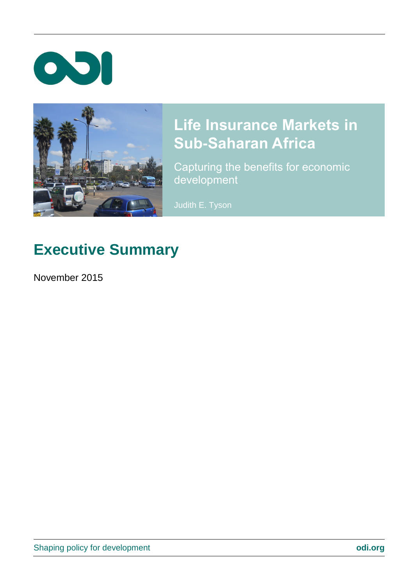



# **Life Insurance Markets in Sub-Saharan Africa**

Capturing the benefits for economic development

Judith E. Tyson

# **Executive Summary**

November 2015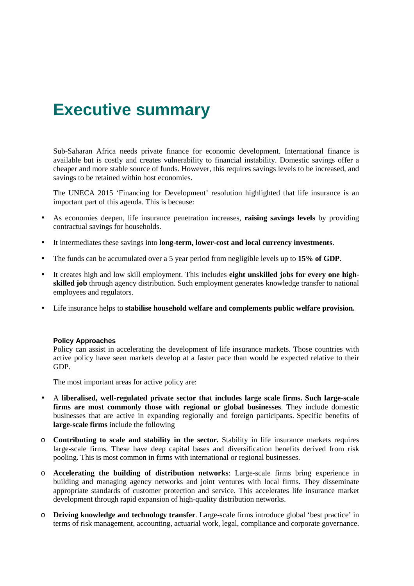## **Executive summary**

Sub-Saharan Africa needs private finance for economic development. International finance is available but is costly and creates vulnerability to financial instability. Domestic savings offer a cheaper and more stable source of funds. However, this requires savings levels to be increased, and savings to be retained within host economies.

The UNECA 2015 'Financing for Development' resolution highlighted that life insurance is an important part of this agenda. This is because:

- As economies deepen, life insurance penetration increases, **raising savings levels** by providing contractual savings for households.
- It intermediates these savings into **long-term, lower-cost and local currency investments**.
- The funds can be accumulated over a 5 year period from negligible levels up to **15% of GDP**.
- It creates high and low skill employment. This includes **eight unskilled jobs for every one highskilled job** through agency distribution. Such employment generates knowledge transfer to national employees and regulators.
- Life insurance helps to **stabilise household welfare and complements public welfare provision.**

### **Policy Approaches**

Policy can assist in accelerating the development of life insurance markets. Those countries with active policy have seen markets develop at a faster pace than would be expected relative to their GDP.

The most important areas for active policy are:

- A **liberalised, well-regulated private sector that includes large scale firms. Such large-scale firms are most commonly those with regional or global businesses**. They include domestic businesses that are active in expanding regionally and foreign participants. Specific benefits of **large-scale firms** include the following
- o **Contributing to scale and stability in the sector.** Stability in life insurance markets requires large-scale firms. These have deep capital bases and diversification benefits derived from risk pooling. This is most common in firms with international or regional businesses.
- o **Accelerating the building of distribution networks**: Large-scale firms bring experience in building and managing agency networks and joint ventures with local firms. They disseminate appropriate standards of customer protection and service. This accelerates life insurance market development through rapid expansion of high-quality distribution networks.
- o **Driving knowledge and technology transfer**. Large-scale firms introduce global 'best practice' in terms of risk management, accounting, actuarial work, legal, compliance and corporate governance.